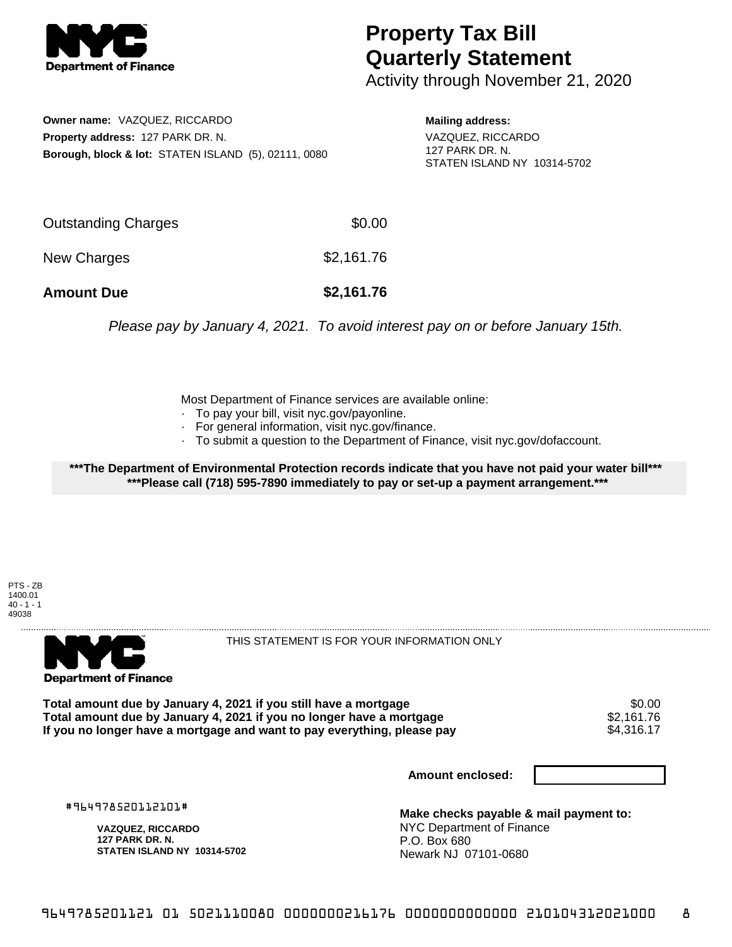

## **Property Tax Bill Quarterly Statement**

Activity through November 21, 2020

**Owner name:** VAZQUEZ, RICCARDO **Property address:** 127 PARK DR. N. **Borough, block & lot:** STATEN ISLAND (5), 02111, 0080 **Mailing address:** VAZQUEZ, RICCARDO 127 PARK DR. N. STATEN ISLAND NY 10314-5702

| <b>Amount Due</b>   | \$2,161.76 |
|---------------------|------------|
| New Charges         | \$2,161.76 |
| Outstanding Charges | \$0.00     |

Please pay by January 4, 2021. To avoid interest pay on or before January 15th.

Most Department of Finance services are available online:

- · To pay your bill, visit nyc.gov/payonline.
- For general information, visit nyc.gov/finance.
- · To submit a question to the Department of Finance, visit nyc.gov/dofaccount.

**\*\*\*The Department of Environmental Protection records indicate that you have not paid your water bill\*\*\* \*\*\*Please call (718) 595-7890 immediately to pay or set-up a payment arrangement.\*\*\***

PTS - ZB 1400.01  $40 - 1 - 1$ 49038



THIS STATEMENT IS FOR YOUR INFORMATION ONLY

Total amount due by January 4, 2021 if you still have a mortgage \$0.00<br>Total amount due by January 4, 2021 if you no longer have a mortgage \$2.161.76 **Total amount due by January 4, 2021 if you no longer have a mortgage \$2,161.76<br>If you no longer have a mortgage and want to pay everything, please pay \$4,316.17** If you no longer have a mortgage and want to pay everything, please pay

**Amount enclosed:**

#964978520112101#

**VAZQUEZ, RICCARDO 127 PARK DR. N. STATEN ISLAND NY 10314-5702**

**Make checks payable & mail payment to:** NYC Department of Finance P.O. Box 680 Newark NJ 07101-0680